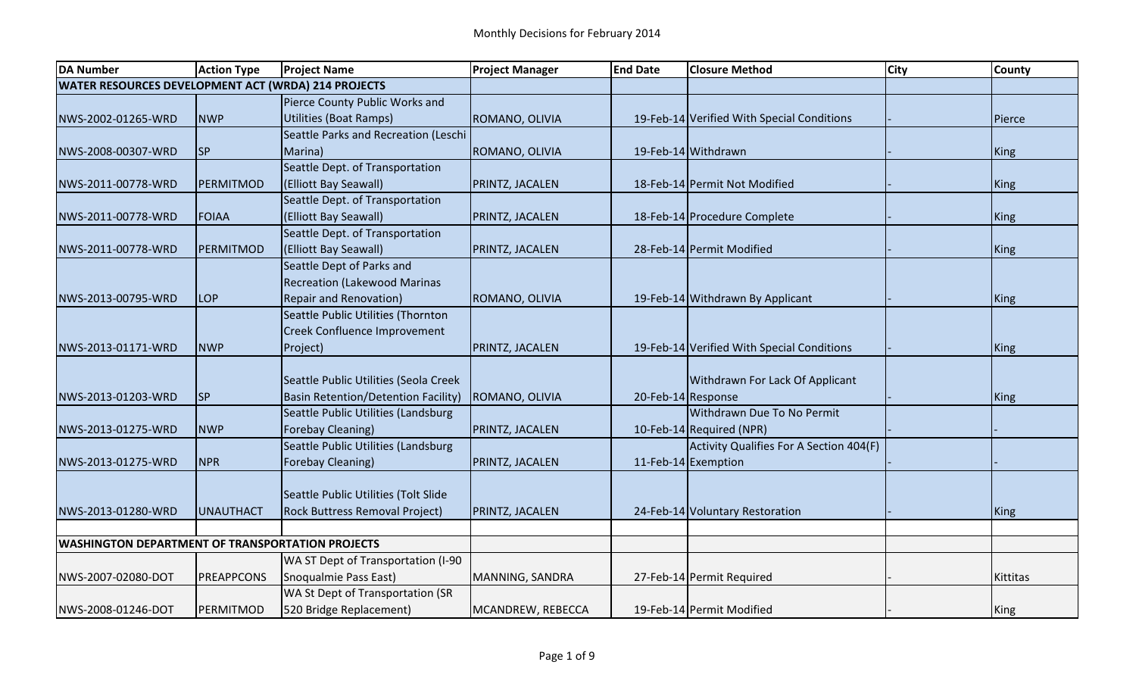| <b>DA Number</b>                                        | <b>Action Type</b> | <b>Project Name</b>                        | <b>Project Manager</b> | <b>End Date</b>    | <b>Closure Method</b>                      | <b>City</b> | <b>County</b> |
|---------------------------------------------------------|--------------------|--------------------------------------------|------------------------|--------------------|--------------------------------------------|-------------|---------------|
| WATER RESOURCES DEVELOPMENT ACT (WRDA) 214 PROJECTS     |                    |                                            |                        |                    |                                            |             |               |
|                                                         |                    | Pierce County Public Works and             |                        |                    |                                            |             |               |
| NWS-2002-01265-WRD                                      | <b>NWP</b>         | <b>Utilities (Boat Ramps)</b>              | ROMANO, OLIVIA         |                    | 19-Feb-14 Verified With Special Conditions |             | Pierce        |
|                                                         |                    | Seattle Parks and Recreation (Leschi       |                        |                    |                                            |             |               |
| NWS-2008-00307-WRD                                      | <b>SP</b>          | Marina)                                    | ROMANO, OLIVIA         |                    | 19-Feb-14 Withdrawn                        |             | King          |
|                                                         |                    | Seattle Dept. of Transportation            |                        |                    |                                            |             |               |
| NWS-2011-00778-WRD                                      | <b>PERMITMOD</b>   | (Elliott Bay Seawall)                      | PRINTZ, JACALEN        |                    | 18-Feb-14 Permit Not Modified              |             | King          |
|                                                         |                    | Seattle Dept. of Transportation            |                        |                    |                                            |             |               |
| NWS-2011-00778-WRD                                      | <b>FOIAA</b>       | (Elliott Bay Seawall)                      | <b>PRINTZ, JACALEN</b> |                    | 18-Feb-14 Procedure Complete               |             | <b>King</b>   |
|                                                         |                    | Seattle Dept. of Transportation            |                        |                    |                                            |             |               |
| NWS-2011-00778-WRD                                      | <b>PERMITMOD</b>   | (Elliott Bay Seawall)                      | <b>PRINTZ, JACALEN</b> |                    | 28-Feb-14 Permit Modified                  |             | King          |
|                                                         |                    | Seattle Dept of Parks and                  |                        |                    |                                            |             |               |
|                                                         |                    | <b>Recreation (Lakewood Marinas</b>        |                        |                    |                                            |             |               |
| NWS-2013-00795-WRD                                      | <b>LOP</b>         | <b>Repair and Renovation)</b>              | ROMANO, OLIVIA         |                    | 19-Feb-14 Withdrawn By Applicant           |             | <b>King</b>   |
|                                                         |                    | Seattle Public Utilities (Thornton         |                        |                    |                                            |             |               |
|                                                         |                    | Creek Confluence Improvement               |                        |                    |                                            |             |               |
| NWS-2013-01171-WRD                                      | <b>NWP</b>         | Project)                                   | PRINTZ, JACALEN        |                    | 19-Feb-14 Verified With Special Conditions |             | King          |
|                                                         |                    |                                            |                        |                    |                                            |             |               |
|                                                         |                    | Seattle Public Utilities (Seola Creek      |                        |                    | Withdrawn For Lack Of Applicant            |             |               |
| NWS-2013-01203-WRD                                      | <b>SP</b>          | <b>Basin Retention/Detention Facility)</b> | ROMANO, OLIVIA         | 20-Feb-14 Response |                                            |             | King          |
|                                                         |                    | Seattle Public Utilities (Landsburg        |                        |                    | <b>Withdrawn Due To No Permit</b>          |             |               |
| NWS-2013-01275-WRD                                      | <b>NWP</b>         | Forebay Cleaning)                          | PRINTZ, JACALEN        |                    | 10-Feb-14 Required (NPR)                   |             |               |
|                                                         |                    | Seattle Public Utilities (Landsburg        |                        |                    | Activity Qualifies For A Section 404(F)    |             |               |
| NWS-2013-01275-WRD                                      | <b>NPR</b>         | Forebay Cleaning)                          | PRINTZ, JACALEN        |                    | 11-Feb-14 Exemption                        |             |               |
|                                                         |                    |                                            |                        |                    |                                            |             |               |
|                                                         |                    | Seattle Public Utilities (Tolt Slide       |                        |                    |                                            |             |               |
| NWS-2013-01280-WRD                                      | <b>UNAUTHACT</b>   | Rock Buttress Removal Project)             | <b>PRINTZ, JACALEN</b> |                    | 24-Feb-14 Voluntary Restoration            |             | King          |
|                                                         |                    |                                            |                        |                    |                                            |             |               |
| <b>WASHINGTON DEPARTMENT OF TRANSPORTATION PROJECTS</b> |                    |                                            |                        |                    |                                            |             |               |
|                                                         |                    | WA ST Dept of Transportation (I-90         |                        |                    |                                            |             |               |
| NWS-2007-02080-DOT                                      | PREAPPCONS         | Snoqualmie Pass East)                      | MANNING, SANDRA        |                    | 27-Feb-14 Permit Required                  |             | Kittitas      |
|                                                         |                    | WA St Dept of Transportation (SR           |                        |                    |                                            |             |               |
| INWS-2008-01246-DOT                                     | PERMITMOD          | 520 Bridge Replacement)                    | MCANDREW, REBECCA      |                    | 19-Feb-14 Permit Modified                  |             | King          |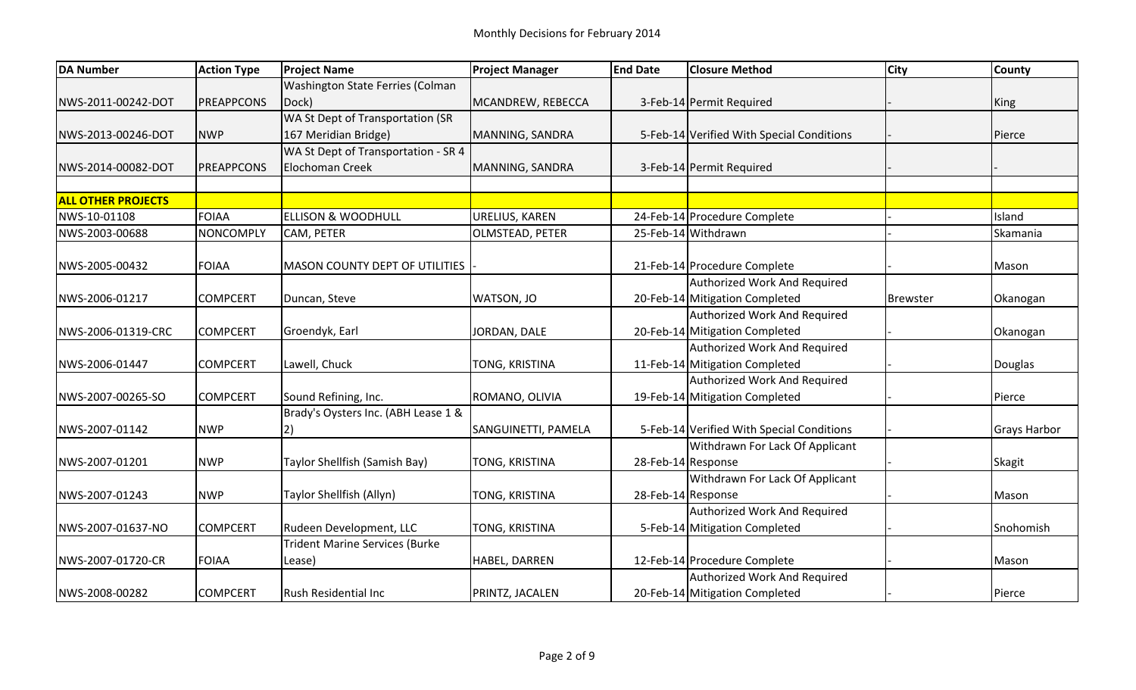| <b>DA Number</b>          | <b>Action Type</b> | <b>Project Name</b>                   | <b>Project Manager</b> | <b>End Date</b>    | <b>Closure Method</b>                     | <b>City</b>     | <b>County</b>       |
|---------------------------|--------------------|---------------------------------------|------------------------|--------------------|-------------------------------------------|-----------------|---------------------|
|                           |                    | Washington State Ferries (Colman      |                        |                    |                                           |                 |                     |
| NWS-2011-00242-DOT        | PREAPPCONS         | Dock)                                 | MCANDREW, REBECCA      |                    | 3-Feb-14 Permit Required                  |                 | King                |
|                           |                    | WA St Dept of Transportation (SR      |                        |                    |                                           |                 |                     |
| NWS-2013-00246-DOT        | <b>NWP</b>         | 167 Meridian Bridge)                  | MANNING, SANDRA        |                    | 5-Feb-14 Verified With Special Conditions |                 | Pierce              |
|                           |                    | WA St Dept of Transportation - SR 4   |                        |                    |                                           |                 |                     |
| NWS-2014-00082-DOT        | <b>IPREAPPCONS</b> | <b>Elochoman Creek</b>                | MANNING, SANDRA        |                    | 3-Feb-14 Permit Required                  |                 |                     |
|                           |                    |                                       |                        |                    |                                           |                 |                     |
| <b>ALL OTHER PROJECTS</b> |                    |                                       |                        |                    |                                           |                 |                     |
| NWS-10-01108              | <b>FOIAA</b>       | <b>ELLISON &amp; WOODHULL</b>         | URELIUS, KAREN         |                    | 24-Feb-14 Procedure Complete              |                 | Island              |
| NWS-2003-00688            | NONCOMPLY          | CAM, PETER                            | <b>OLMSTEAD, PETER</b> |                    | 25-Feb-14 Withdrawn                       |                 | Skamania            |
|                           |                    |                                       |                        |                    |                                           |                 |                     |
| NWS-2005-00432            | <b>FOIAA</b>       | <b>MASON COUNTY DEPT OF UTILITIES</b> |                        |                    | 21-Feb-14 Procedure Complete              |                 | Mason               |
|                           |                    |                                       |                        |                    | Authorized Work And Required              |                 |                     |
| NWS-2006-01217            | <b>COMPCERT</b>    | Duncan, Steve                         | WATSON, JO             |                    | 20-Feb-14 Mitigation Completed            | <b>Brewster</b> | Okanogan            |
|                           |                    |                                       |                        |                    | Authorized Work And Required              |                 |                     |
| NWS-2006-01319-CRC        | <b>COMPCERT</b>    | Groendyk, Earl                        | JORDAN, DALE           |                    | 20-Feb-14 Mitigation Completed            |                 | Okanogan            |
|                           |                    |                                       |                        |                    | Authorized Work And Required              |                 |                     |
| NWS-2006-01447            | <b>COMPCERT</b>    | Lawell, Chuck                         | TONG, KRISTINA         |                    | 11-Feb-14 Mitigation Completed            |                 | Douglas             |
|                           |                    |                                       |                        |                    | Authorized Work And Required              |                 |                     |
| NWS-2007-00265-SO         | <b>COMPCERT</b>    | Sound Refining, Inc.                  | ROMANO, OLIVIA         |                    | 19-Feb-14 Mitigation Completed            |                 | Pierce              |
|                           |                    | Brady's Oysters Inc. (ABH Lease 1 &   |                        |                    |                                           |                 |                     |
| NWS-2007-01142            | <b>NWP</b>         | 2)                                    | SANGUINETTI, PAMELA    |                    | 5-Feb-14 Verified With Special Conditions |                 | <b>Grays Harbor</b> |
|                           |                    |                                       |                        |                    | Withdrawn For Lack Of Applicant           |                 |                     |
| NWS-2007-01201            | <b>NWP</b>         | Taylor Shellfish (Samish Bay)         | TONG, KRISTINA         | 28-Feb-14 Response |                                           |                 | <b>Skagit</b>       |
|                           |                    |                                       |                        |                    | Withdrawn For Lack Of Applicant           |                 |                     |
| NWS-2007-01243            | <b>NWP</b>         | Taylor Shellfish (Allyn)              | TONG, KRISTINA         |                    | 28-Feb-14 Response                        |                 | Mason               |
|                           |                    |                                       |                        |                    | Authorized Work And Required              |                 |                     |
| NWS-2007-01637-NO         | <b>COMPCERT</b>    | Rudeen Development, LLC               | TONG, KRISTINA         |                    | 5-Feb-14 Mitigation Completed             |                 | Snohomish           |
|                           |                    | <b>Trident Marine Services (Burke</b> |                        |                    |                                           |                 |                     |
| NWS-2007-01720-CR         | <b>FOIAA</b>       | Lease)                                | HABEL, DARREN          |                    | 12-Feb-14 Procedure Complete              |                 | Mason               |
|                           |                    |                                       |                        |                    | <b>Authorized Work And Required</b>       |                 |                     |
| NWS-2008-00282            | <b>COMPCERT</b>    | <b>Rush Residential Inc</b>           | PRINTZ, JACALEN        |                    | 20-Feb-14 Mitigation Completed            |                 | Pierce              |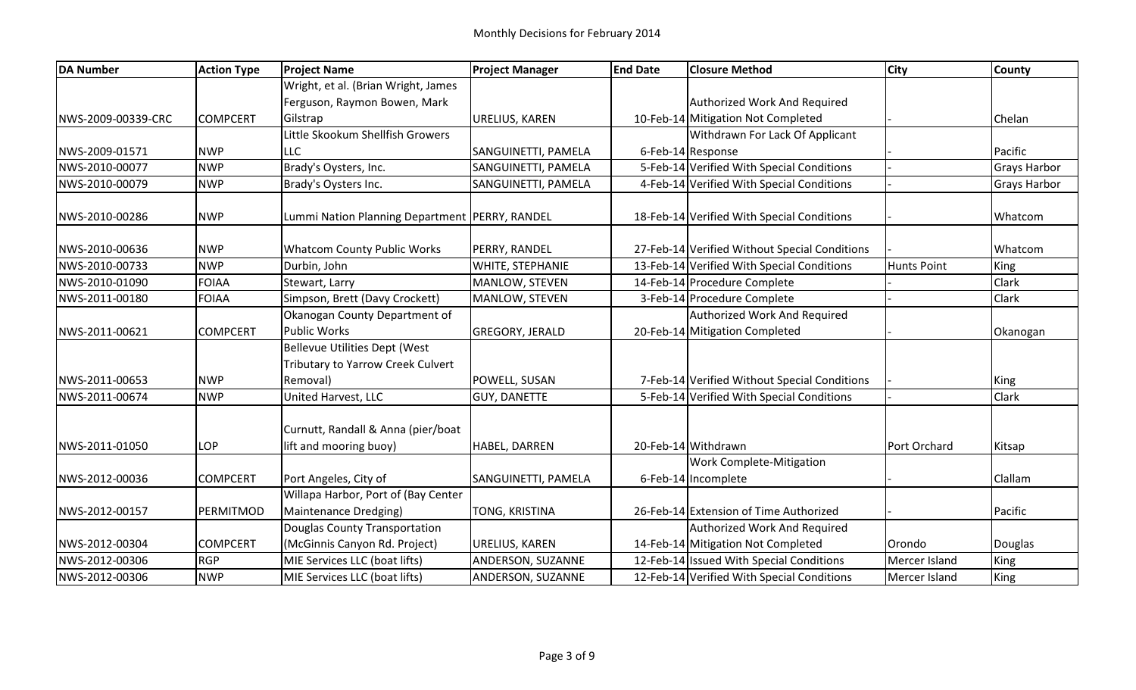| <b>DA Number</b>   | <b>Action Type</b> | <b>Project Name</b>                                                       | <b>Project Manager</b> | <b>End Date</b> | <b>Closure Method</b>                         | <b>City</b>        | County              |
|--------------------|--------------------|---------------------------------------------------------------------------|------------------------|-----------------|-----------------------------------------------|--------------------|---------------------|
|                    |                    | Wright, et al. (Brian Wright, James                                       |                        |                 |                                               |                    |                     |
|                    |                    | Ferguson, Raymon Bowen, Mark                                              |                        |                 | Authorized Work And Required                  |                    |                     |
| NWS-2009-00339-CRC | <b>COMPCERT</b>    | Gilstrap                                                                  | URELIUS, KAREN         |                 | 10-Feb-14 Mitigation Not Completed            |                    | Chelan              |
|                    |                    | Little Skookum Shellfish Growers                                          |                        |                 | Withdrawn For Lack Of Applicant               |                    |                     |
| NWS-2009-01571     | <b>NWP</b>         | <b>LLC</b>                                                                | SANGUINETTI, PAMELA    |                 | 6-Feb-14 Response                             |                    | Pacific             |
| NWS-2010-00077     | <b>NWP</b>         | Brady's Oysters, Inc.                                                     | SANGUINETTI, PAMELA    |                 | 5-Feb-14 Verified With Special Conditions     |                    | Grays Harbor        |
| NWS-2010-00079     | <b>NWP</b>         | Brady's Oysters Inc.                                                      | SANGUINETTI, PAMELA    |                 | 4-Feb-14 Verified With Special Conditions     |                    | <b>Grays Harbor</b> |
| NWS-2010-00286     | <b>NWP</b>         | Lummi Nation Planning Department   PERRY, RANDEL                          |                        |                 | 18-Feb-14 Verified With Special Conditions    |                    | Whatcom             |
| NWS-2010-00636     | <b>NWP</b>         | <b>Whatcom County Public Works</b>                                        | PERRY, RANDEL          |                 | 27-Feb-14 Verified Without Special Conditions |                    | Whatcom             |
| NWS-2010-00733     | <b>NWP</b>         | Durbin, John                                                              | WHITE, STEPHANIE       |                 | 13-Feb-14 Verified With Special Conditions    | <b>Hunts Point</b> | King                |
| NWS-2010-01090     | <b>FOIAA</b>       | Stewart, Larry                                                            | MANLOW, STEVEN         |                 | 14-Feb-14 Procedure Complete                  |                    | Clark               |
| NWS-2011-00180     | <b>FOIAA</b>       | Simpson, Brett (Davy Crockett)                                            | MANLOW, STEVEN         |                 | 3-Feb-14 Procedure Complete                   |                    | Clark               |
|                    |                    | Okanogan County Department of                                             |                        |                 | Authorized Work And Required                  |                    |                     |
| NWS-2011-00621     | <b>COMPCERT</b>    | <b>Public Works</b>                                                       | <b>GREGORY, JERALD</b> |                 | 20-Feb-14 Mitigation Completed                |                    | Okanogan            |
|                    |                    | <b>Bellevue Utilities Dept (West</b><br>Tributary to Yarrow Creek Culvert |                        |                 |                                               |                    |                     |
| NWS-2011-00653     | <b>NWP</b>         | Removal)                                                                  | POWELL, SUSAN          |                 | 7-Feb-14 Verified Without Special Conditions  |                    | <b>King</b>         |
| NWS-2011-00674     | <b>NWP</b>         | United Harvest, LLC                                                       | <b>GUY, DANETTE</b>    |                 | 5-Feb-14 Verified With Special Conditions     |                    | Clark               |
|                    |                    | Curnutt, Randall & Anna (pier/boat                                        |                        |                 |                                               |                    |                     |
| NWS-2011-01050     | LOP                | lift and mooring buoy)                                                    | HABEL, DARREN          |                 | 20-Feb-14 Withdrawn                           | Port Orchard       | Kitsap              |
|                    |                    |                                                                           |                        |                 | <b>Work Complete-Mitigation</b>               |                    |                     |
| NWS-2012-00036     | <b>COMPCERT</b>    | Port Angeles, City of                                                     | SANGUINETTI, PAMELA    |                 | 6-Feb-14 Incomplete                           |                    | Clallam             |
|                    |                    | Willapa Harbor, Port of (Bay Center                                       |                        |                 |                                               |                    |                     |
| NWS-2012-00157     | PERMITMOD          | Maintenance Dredging)                                                     | TONG, KRISTINA         |                 | 26-Feb-14 Extension of Time Authorized        |                    | Pacific             |
|                    |                    | Douglas County Transportation                                             |                        |                 | Authorized Work And Required                  |                    |                     |
| INWS-2012-00304    | <b>COMPCERT</b>    | (McGinnis Canyon Rd. Project)                                             | URELIUS, KAREN         |                 | 14-Feb-14 Mitigation Not Completed            | Orondo             | Douglas             |
| NWS-2012-00306     | <b>RGP</b>         | MIE Services LLC (boat lifts)                                             | ANDERSON, SUZANNE      |                 | 12-Feb-14 Issued With Special Conditions      | Mercer Island      | <b>King</b>         |
| NWS-2012-00306     | <b>NWP</b>         | MIE Services LLC (boat lifts)                                             | ANDERSON, SUZANNE      |                 | 12-Feb-14 Verified With Special Conditions    | Mercer Island      | <b>King</b>         |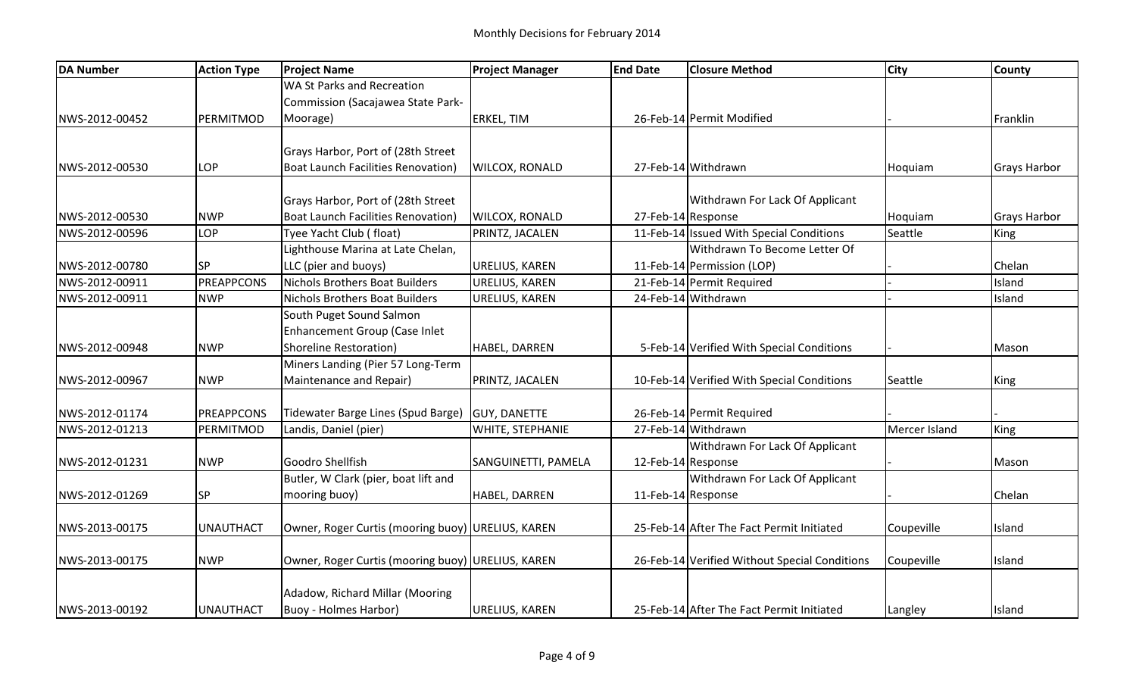| <b>DA Number</b> | <b>Action Type</b> | <b>Project Name</b>                               | <b>Project Manager</b> | <b>End Date</b> | <b>Closure Method</b>                         | <b>City</b>   | <b>County</b>       |
|------------------|--------------------|---------------------------------------------------|------------------------|-----------------|-----------------------------------------------|---------------|---------------------|
|                  |                    | WA St Parks and Recreation                        |                        |                 |                                               |               |                     |
|                  |                    | Commission (Sacajawea State Park-                 |                        |                 |                                               |               |                     |
| NWS-2012-00452   | PERMITMOD          | Moorage)                                          | <b>ERKEL, TIM</b>      |                 | 26-Feb-14 Permit Modified                     |               | Franklin            |
|                  |                    |                                                   |                        |                 |                                               |               |                     |
|                  |                    | Grays Harbor, Port of (28th Street                |                        |                 |                                               |               |                     |
| NWS-2012-00530   | LOP                | Boat Launch Facilities Renovation)                | <b>WILCOX, RONALD</b>  |                 | 27-Feb-14 Withdrawn                           | Hoquiam       | <b>Grays Harbor</b> |
|                  |                    |                                                   |                        |                 |                                               |               |                     |
|                  |                    | Grays Harbor, Port of (28th Street                |                        |                 | Withdrawn For Lack Of Applicant               |               |                     |
| NWS-2012-00530   | <b>NWP</b>         | <b>Boat Launch Facilities Renovation)</b>         | <b>WILCOX, RONALD</b>  |                 | 27-Feb-14 Response                            | Hoquiam       | <b>Grays Harbor</b> |
| NWS-2012-00596   | LOP                | Tyee Yacht Club (float)                           | PRINTZ, JACALEN        |                 | 11-Feb-14 Issued With Special Conditions      | Seattle       | King                |
|                  |                    | Lighthouse Marina at Late Chelan,                 |                        |                 | Withdrawn To Become Letter Of                 |               |                     |
| NWS-2012-00780   | <b>SP</b>          | LLC (pier and buoys)                              | URELIUS, KAREN         |                 | 11-Feb-14 Permission (LOP)                    |               | Chelan              |
| NWS-2012-00911   | <b>PREAPPCONS</b>  | Nichols Brothers Boat Builders                    | <b>URELIUS, KAREN</b>  |                 | 21-Feb-14 Permit Required                     |               | Island              |
| NWS-2012-00911   | <b>NWP</b>         | <b>Nichols Brothers Boat Builders</b>             | URELIUS, KAREN         |                 | 24-Feb-14 Withdrawn                           |               | Island              |
|                  |                    | South Puget Sound Salmon                          |                        |                 |                                               |               |                     |
|                  |                    | Enhancement Group (Case Inlet                     |                        |                 |                                               |               |                     |
| NWS-2012-00948   | <b>NWP</b>         | Shoreline Restoration)                            | HABEL, DARREN          |                 | 5-Feb-14 Verified With Special Conditions     |               | Mason               |
|                  |                    | Miners Landing (Pier 57 Long-Term                 |                        |                 |                                               |               |                     |
| NWS-2012-00967   | <b>NWP</b>         | Maintenance and Repair)                           | PRINTZ, JACALEN        |                 | 10-Feb-14 Verified With Special Conditions    | Seattle       | King                |
|                  |                    |                                                   |                        |                 |                                               |               |                     |
| NWS-2012-01174   | PREAPPCONS         | Tidewater Barge Lines (Spud Barge)                | <b>GUY, DANETTE</b>    |                 | 26-Feb-14 Permit Required                     |               |                     |
| NWS-2012-01213   | PERMITMOD          | Landis, Daniel (pier)                             | WHITE, STEPHANIE       |                 | 27-Feb-14 Withdrawn                           | Mercer Island | King                |
|                  |                    |                                                   |                        |                 | Withdrawn For Lack Of Applicant               |               |                     |
| NWS-2012-01231   | <b>NWP</b>         | Goodro Shellfish                                  | SANGUINETTI, PAMELA    |                 | 12-Feb-14 Response                            |               | Mason               |
|                  |                    | Butler, W Clark (pier, boat lift and              |                        |                 | Withdrawn For Lack Of Applicant               |               |                     |
| NWS-2012-01269   | <b>SP</b>          | mooring buoy)                                     | HABEL, DARREN          |                 | 11-Feb-14 Response                            |               | Chelan              |
|                  |                    |                                                   |                        |                 |                                               |               |                     |
| NWS-2013-00175   | UNAUTHACT          | Owner, Roger Curtis (mooring buoy) URELIUS, KAREN |                        |                 | 25-Feb-14 After The Fact Permit Initiated     | Coupeville    | Island              |
| NWS-2013-00175   | <b>NWP</b>         | Owner, Roger Curtis (mooring buoy) URELIUS, KAREN |                        |                 | 26-Feb-14 Verified Without Special Conditions | Coupeville    | Island              |
|                  |                    |                                                   |                        |                 |                                               |               |                     |
|                  |                    | Adadow, Richard Millar (Mooring                   |                        |                 |                                               |               |                     |
| NWS-2013-00192   | UNAUTHACT          | Buoy - Holmes Harbor)                             | URELIUS, KAREN         |                 | 25-Feb-14 After The Fact Permit Initiated     | Langley       | Island              |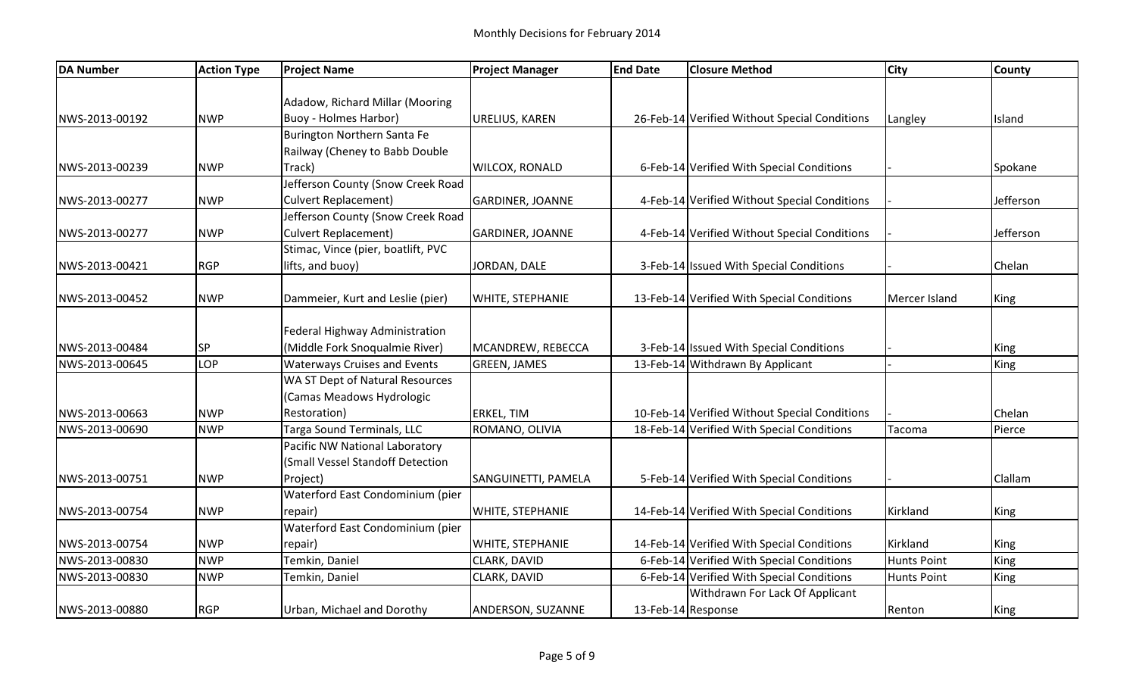| <b>DA Number</b> | <b>Action Type</b> | <b>Project Name</b>                    | <b>Project Manager</b>  | <b>End Date</b>    | <b>Closure Method</b>                         | <b>ICity</b>       | <b>County</b> |
|------------------|--------------------|----------------------------------------|-------------------------|--------------------|-----------------------------------------------|--------------------|---------------|
|                  |                    |                                        |                         |                    |                                               |                    |               |
|                  |                    | Adadow, Richard Millar (Mooring        |                         |                    |                                               |                    |               |
| NWS-2013-00192   | <b>NWP</b>         | <b>Buoy - Holmes Harbor)</b>           | URELIUS, KAREN          |                    | 26-Feb-14 Verified Without Special Conditions | Langley            | Island        |
|                  |                    | Burington Northern Santa Fe            |                         |                    |                                               |                    |               |
|                  |                    | Railway (Cheney to Babb Double         |                         |                    |                                               |                    |               |
| NWS-2013-00239   | <b>NWP</b>         | Track)                                 | WILCOX, RONALD          |                    | 6-Feb-14 Verified With Special Conditions     |                    | Spokane       |
|                  |                    | Jefferson County (Snow Creek Road      |                         |                    |                                               |                    |               |
| NWS-2013-00277   | <b>NWP</b>         | <b>Culvert Replacement)</b>            | <b>GARDINER, JOANNE</b> |                    | 4-Feb-14 Verified Without Special Conditions  |                    | Jefferson     |
|                  |                    | Jefferson County (Snow Creek Road      |                         |                    |                                               |                    |               |
| NWS-2013-00277   | <b>NWP</b>         | <b>Culvert Replacement)</b>            | <b>GARDINER, JOANNE</b> |                    | 4-Feb-14 Verified Without Special Conditions  |                    | Jefferson     |
|                  |                    | Stimac, Vince (pier, boatlift, PVC     |                         |                    |                                               |                    |               |
| NWS-2013-00421   | <b>RGP</b>         | lifts, and buoy)                       | JORDAN, DALE            |                    | 3-Feb-14 Issued With Special Conditions       |                    | Chelan        |
| NWS-2013-00452   | <b>NWP</b>         | Dammeier, Kurt and Leslie (pier)       | <b>WHITE, STEPHANIE</b> |                    | 13-Feb-14 Verified With Special Conditions    | Mercer Island      |               |
|                  |                    |                                        |                         |                    |                                               |                    | King          |
|                  |                    | Federal Highway Administration         |                         |                    |                                               |                    |               |
| NWS-2013-00484   | <b>SP</b>          | (Middle Fork Snoqualmie River)         | MCANDREW, REBECCA       |                    | 3-Feb-14 Issued With Special Conditions       |                    | King          |
| NWS-2013-00645   | LOP                | <b>Waterways Cruises and Events</b>    | <b>GREEN, JAMES</b>     |                    | 13-Feb-14 Withdrawn By Applicant              |                    | King          |
|                  |                    | <b>WA ST Dept of Natural Resources</b> |                         |                    |                                               |                    |               |
|                  |                    | (Camas Meadows Hydrologic              |                         |                    |                                               |                    |               |
| NWS-2013-00663   | <b>NWP</b>         | Restoration)                           | ERKEL, TIM              |                    | 10-Feb-14 Verified Without Special Conditions |                    | Chelan        |
| NWS-2013-00690   | <b>NWP</b>         | Targa Sound Terminals, LLC             | ROMANO, OLIVIA          |                    | 18-Feb-14 Verified With Special Conditions    | Tacoma             | Pierce        |
|                  |                    | Pacific NW National Laboratory         |                         |                    |                                               |                    |               |
|                  |                    | (Small Vessel Standoff Detection       |                         |                    |                                               |                    |               |
| NWS-2013-00751   | <b>NWP</b>         | Project)                               | SANGUINETTI, PAMELA     |                    | 5-Feb-14 Verified With Special Conditions     |                    | Clallam       |
|                  |                    | Waterford East Condominium (pier       |                         |                    |                                               |                    |               |
| NWS-2013-00754   | <b>NWP</b>         | repair)                                | <b>WHITE, STEPHANIE</b> |                    | 14-Feb-14 Verified With Special Conditions    | Kirkland           | King          |
|                  |                    | Waterford East Condominium (pier       |                         |                    |                                               |                    |               |
| NWS-2013-00754   | <b>NWP</b>         | repair)                                | WHITE, STEPHANIE        |                    | 14-Feb-14 Verified With Special Conditions    | Kirkland           | King          |
| NWS-2013-00830   | <b>NWP</b>         | Temkin, Daniel                         | CLARK, DAVID            |                    | 6-Feb-14 Verified With Special Conditions     | <b>Hunts Point</b> | King          |
| NWS-2013-00830   | <b>NWP</b>         | Temkin, Daniel                         | CLARK, DAVID            |                    | 6-Feb-14 Verified With Special Conditions     | <b>Hunts Point</b> | King          |
|                  |                    |                                        |                         |                    | Withdrawn For Lack Of Applicant               |                    |               |
| NWS-2013-00880   | <b>RGP</b>         | Urban, Michael and Dorothy             | ANDERSON, SUZANNE       | 13-Feb-14 Response |                                               | Renton             | King          |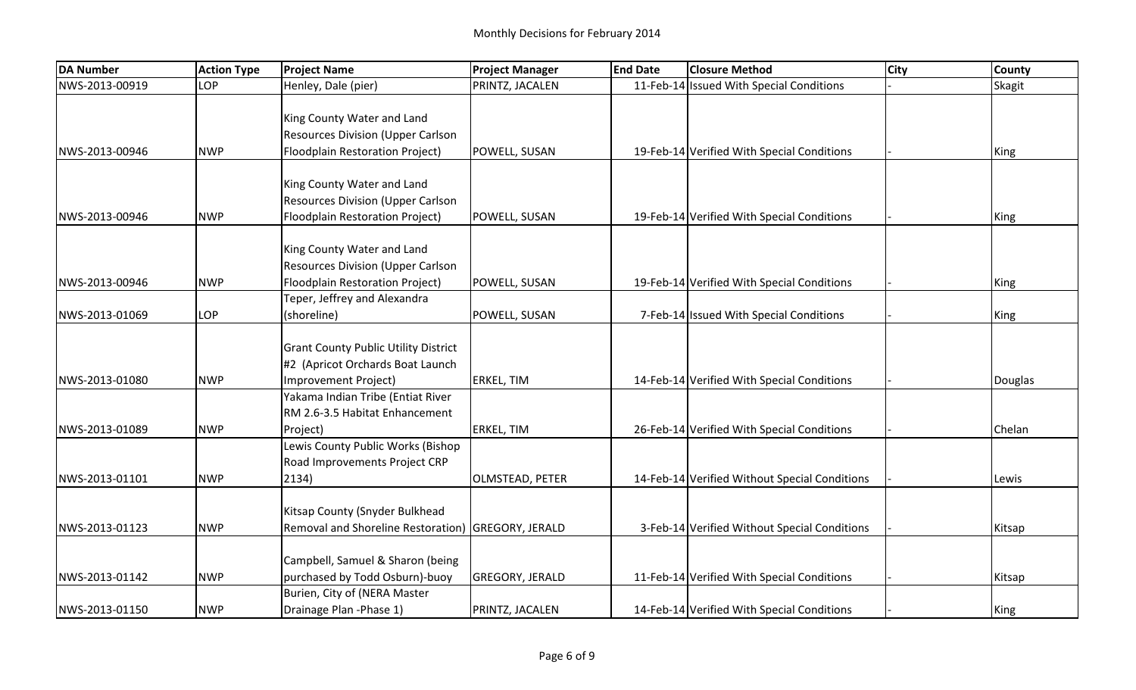| <b>DA Number</b> | <b>Action Type</b> | <b>Project Name</b>                                                         | <b>Project Manager</b> | <b>End Date</b> | <b>Closure Method</b>                         | <b>City</b> | <b>County</b> |
|------------------|--------------------|-----------------------------------------------------------------------------|------------------------|-----------------|-----------------------------------------------|-------------|---------------|
| NWS-2013-00919   | LOP                | Henley, Dale (pier)                                                         | PRINTZ, JACALEN        |                 | 11-Feb-14 Issued With Special Conditions      |             | <b>Skagit</b> |
|                  |                    |                                                                             |                        |                 |                                               |             |               |
|                  |                    | King County Water and Land                                                  |                        |                 |                                               |             |               |
|                  |                    | <b>Resources Division (Upper Carlson</b>                                    |                        |                 |                                               |             |               |
| NWS-2013-00946   | <b>NWP</b>         | Floodplain Restoration Project)                                             | POWELL, SUSAN          |                 | 19-Feb-14 Verified With Special Conditions    |             | King          |
|                  |                    |                                                                             |                        |                 |                                               |             |               |
|                  |                    | King County Water and Land                                                  |                        |                 |                                               |             |               |
|                  |                    | <b>Resources Division (Upper Carlson</b>                                    |                        |                 |                                               |             |               |
| NWS-2013-00946   | <b>NWP</b>         | Floodplain Restoration Project)                                             | POWELL, SUSAN          |                 | 19-Feb-14 Verified With Special Conditions    |             | King          |
|                  |                    |                                                                             |                        |                 |                                               |             |               |
|                  |                    | King County Water and Land                                                  |                        |                 |                                               |             |               |
| NWS-2013-00946   | <b>NWP</b>         | <b>Resources Division (Upper Carlson</b><br>Floodplain Restoration Project) |                        |                 | 19-Feb-14 Verified With Special Conditions    |             |               |
|                  |                    | Teper, Jeffrey and Alexandra                                                | POWELL, SUSAN          |                 |                                               |             | <b>King</b>   |
| NWS-2013-01069   | LOP                |                                                                             |                        |                 |                                               |             |               |
|                  |                    | (shoreline)                                                                 | POWELL, SUSAN          |                 | 7-Feb-14 Issued With Special Conditions       |             | King          |
|                  |                    | <b>Grant County Public Utility District</b>                                 |                        |                 |                                               |             |               |
|                  |                    | #2 (Apricot Orchards Boat Launch                                            |                        |                 |                                               |             |               |
| NWS-2013-01080   | <b>NWP</b>         | Improvement Project)                                                        | <b>ERKEL, TIM</b>      |                 | 14-Feb-14 Verified With Special Conditions    |             | Douglas       |
|                  |                    | Yakama Indian Tribe (Entiat River                                           |                        |                 |                                               |             |               |
|                  |                    | RM 2.6-3.5 Habitat Enhancement                                              |                        |                 |                                               |             |               |
| NWS-2013-01089   | <b>NWP</b>         | Project)                                                                    | <b>ERKEL, TIM</b>      |                 | 26-Feb-14 Verified With Special Conditions    |             | Chelan        |
|                  |                    | Lewis County Public Works (Bishop                                           |                        |                 |                                               |             |               |
|                  |                    | Road Improvements Project CRP                                               |                        |                 |                                               |             |               |
| NWS-2013-01101   | <b>NWP</b>         | 2134)                                                                       | OLMSTEAD, PETER        |                 | 14-Feb-14 Verified Without Special Conditions |             | Lewis         |
|                  |                    |                                                                             |                        |                 |                                               |             |               |
|                  |                    | Kitsap County (Snyder Bulkhead                                              |                        |                 |                                               |             |               |
| NWS-2013-01123   | <b>NWP</b>         | Removal and Shoreline Restoration) GREGORY, JERALD                          |                        |                 | 3-Feb-14 Verified Without Special Conditions  |             | Kitsap        |
|                  |                    |                                                                             |                        |                 |                                               |             |               |
|                  |                    | Campbell, Samuel & Sharon (being                                            |                        |                 |                                               |             |               |
| NWS-2013-01142   | <b>NWP</b>         | purchased by Todd Osburn)-buoy                                              | <b>GREGORY, JERALD</b> |                 | 11-Feb-14 Verified With Special Conditions    |             | Kitsap        |
|                  |                    | Burien, City of (NERA Master                                                |                        |                 |                                               |             |               |
| NWS-2013-01150   | <b>NWP</b>         | Drainage Plan - Phase 1)                                                    | PRINTZ, JACALEN        |                 | 14-Feb-14 Verified With Special Conditions    |             | King          |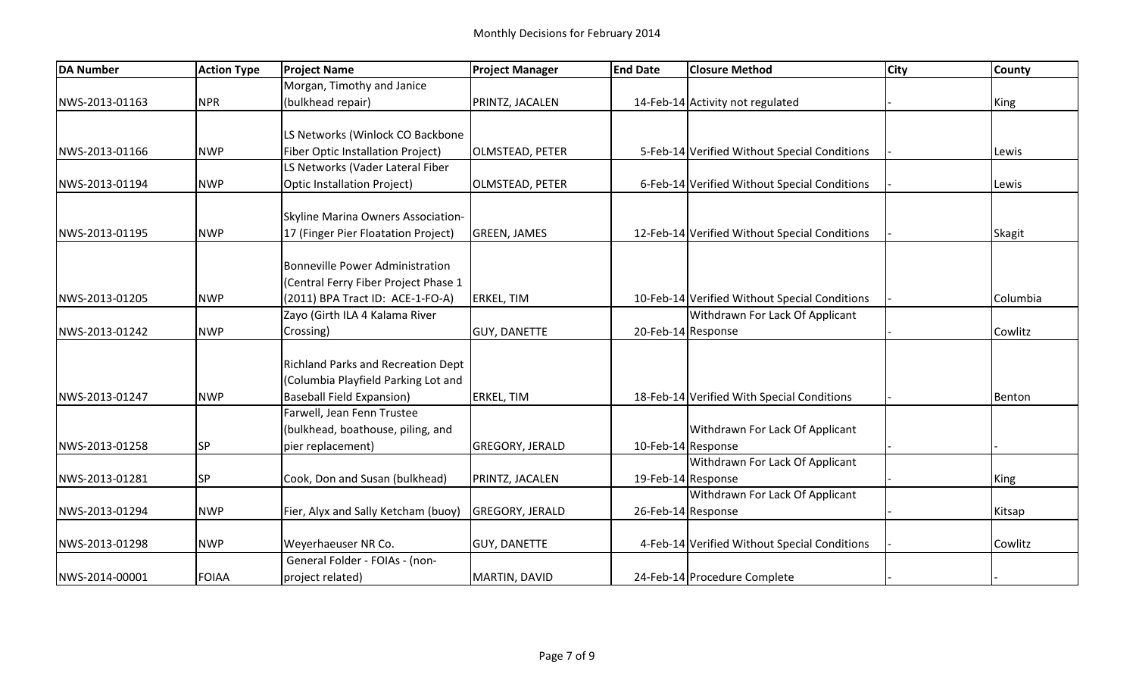| <b>DA Number</b> | <b>Action Type</b> | <b>Project Name</b>                      | <b>Project Manager</b> | <b>End Date</b>    | <b>Closure Method</b>                         | <b>City</b> | <b>County</b> |
|------------------|--------------------|------------------------------------------|------------------------|--------------------|-----------------------------------------------|-------------|---------------|
|                  |                    | Morgan, Timothy and Janice               |                        |                    |                                               |             |               |
| NWS-2013-01163   | <b>NPR</b>         | (bulkhead repair)                        | PRINTZ, JACALEN        |                    | 14-Feb-14 Activity not regulated              |             | King          |
|                  |                    |                                          |                        |                    |                                               |             |               |
|                  |                    | LS Networks (Winlock CO Backbone         |                        |                    |                                               |             |               |
| NWS-2013-01166   | <b>NWP</b>         | <b>Fiber Optic Installation Project)</b> | <b>OLMSTEAD, PETER</b> |                    | 5-Feb-14 Verified Without Special Conditions  |             | Lewis         |
|                  |                    | LS Networks (Vader Lateral Fiber         |                        |                    |                                               |             |               |
| NWS-2013-01194   | <b>NWP</b>         | <b>Optic Installation Project)</b>       | OLMSTEAD, PETER        |                    | 6-Feb-14 Verified Without Special Conditions  |             | Lewis         |
|                  |                    | Skyline Marina Owners Association-       |                        |                    |                                               |             |               |
| NWS-2013-01195   | <b>NWP</b>         | 17 (Finger Pier Floatation Project)      | <b>GREEN, JAMES</b>    |                    | 12-Feb-14 Verified Without Special Conditions |             | <b>Skagit</b> |
|                  |                    |                                          |                        |                    |                                               |             |               |
|                  |                    | <b>Bonneville Power Administration</b>   |                        |                    |                                               |             |               |
|                  |                    | (Central Ferry Fiber Project Phase 1     |                        |                    |                                               |             |               |
| NWS-2013-01205   | <b>NWP</b>         | (2011) BPA Tract ID: ACE-1-FO-A)         | <b>ERKEL, TIM</b>      |                    | 10-Feb-14 Verified Without Special Conditions |             | Columbia      |
|                  |                    | Zayo (Girth ILA 4 Kalama River           |                        |                    | Withdrawn For Lack Of Applicant               |             |               |
| NWS-2013-01242   | <b>NWP</b>         | Crossing)                                | <b>GUY, DANETTE</b>    | 20-Feb-14 Response |                                               |             | Cowlitz       |
|                  |                    | Richland Parks and Recreation Dept       |                        |                    |                                               |             |               |
|                  |                    | (Columbia Playfield Parking Lot and      |                        |                    |                                               |             |               |
| NWS-2013-01247   | <b>NWP</b>         | <b>Baseball Field Expansion)</b>         | <b>ERKEL, TIM</b>      |                    | 18-Feb-14 Verified With Special Conditions    |             | Benton        |
|                  |                    | Farwell, Jean Fenn Trustee               |                        |                    |                                               |             |               |
|                  |                    | (bulkhead, boathouse, piling, and        |                        |                    | Withdrawn For Lack Of Applicant               |             |               |
| NWS-2013-01258   | <b>SP</b>          | pier replacement)                        | <b>GREGORY, JERALD</b> | 10-Feb-14 Response |                                               |             |               |
|                  |                    |                                          |                        |                    | Withdrawn For Lack Of Applicant               |             |               |
| NWS-2013-01281   | <b>SP</b>          | Cook, Don and Susan (bulkhead)           | PRINTZ, JACALEN        | 19-Feb-14 Response |                                               |             | King          |
|                  |                    |                                          |                        |                    | Withdrawn For Lack Of Applicant               |             |               |
| NWS-2013-01294   | <b>NWP</b>         | Fier, Alyx and Sally Ketcham (buoy)      | <b>GREGORY, JERALD</b> |                    | 26-Feb-14 Response                            |             | Kitsap        |
|                  |                    |                                          |                        |                    |                                               |             |               |
| NWS-2013-01298   | <b>NWP</b>         | Weyerhaeuser NR Co.                      | <b>GUY, DANETTE</b>    |                    | 4-Feb-14 Verified Without Special Conditions  |             | Cowlitz       |
|                  |                    | General Folder - FOIAs - (non-           |                        |                    |                                               |             |               |
| NWS-2014-00001   | <b>FOIAA</b>       | project related)                         | MARTIN, DAVID          |                    | 24-Feb-14 Procedure Complete                  |             |               |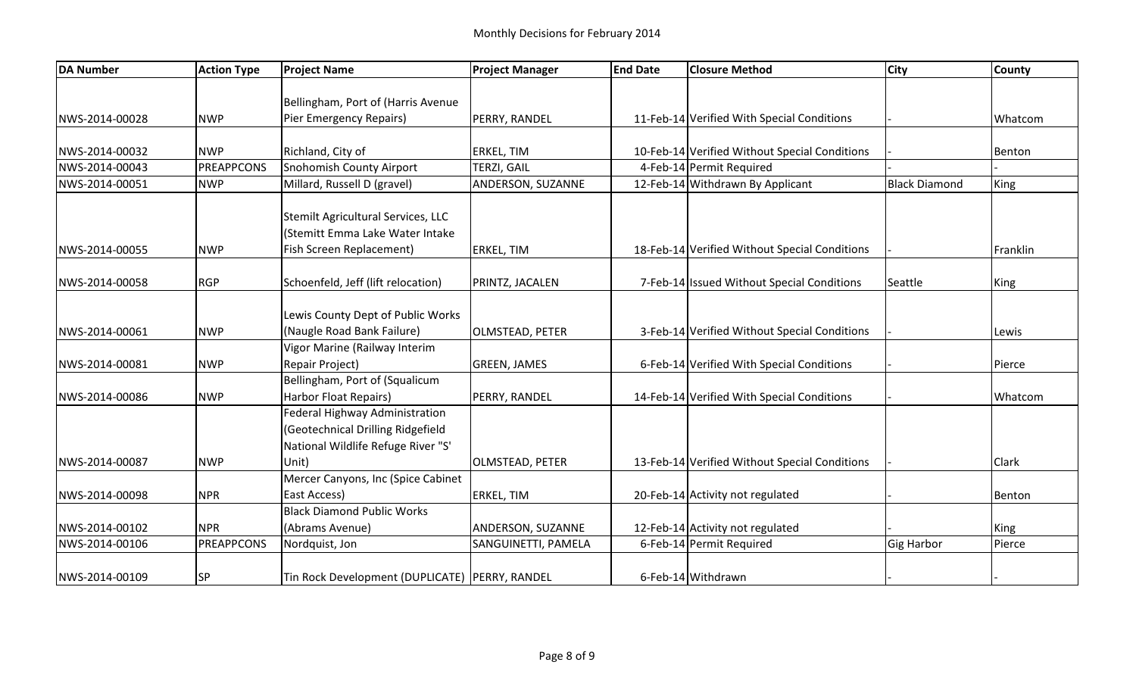| <b>DA Number</b> | <b>Action Type</b> | <b>Project Name</b>                              | <b>Project Manager</b> | <b>End Date</b> | <b>Closure Method</b>                         | <b>City</b>          | <b>County</b> |
|------------------|--------------------|--------------------------------------------------|------------------------|-----------------|-----------------------------------------------|----------------------|---------------|
|                  |                    |                                                  |                        |                 |                                               |                      |               |
|                  |                    | Bellingham, Port of (Harris Avenue               |                        |                 |                                               |                      |               |
| NWS-2014-00028   | <b>NWP</b>         | Pier Emergency Repairs)                          | PERRY, RANDEL          |                 | 11-Feb-14 Verified With Special Conditions    |                      | Whatcom       |
| NWS-2014-00032   | <b>NWP</b>         | Richland, City of                                | <b>ERKEL, TIM</b>      |                 | 10-Feb-14 Verified Without Special Conditions |                      | Benton        |
| NWS-2014-00043   | <b>PREAPPCONS</b>  | <b>Snohomish County Airport</b>                  | TERZI, GAIL            |                 | 4-Feb-14 Permit Required                      |                      |               |
| NWS-2014-00051   | <b>NWP</b>         | Millard, Russell D (gravel)                      | ANDERSON, SUZANNE      |                 | 12-Feb-14 Withdrawn By Applicant              | <b>Black Diamond</b> | King          |
|                  |                    |                                                  |                        |                 |                                               |                      |               |
|                  |                    | Stemilt Agricultural Services, LLC               |                        |                 |                                               |                      |               |
|                  |                    | (Stemitt Emma Lake Water Intake                  |                        |                 |                                               |                      |               |
| NWS-2014-00055   | <b>NWP</b>         | Fish Screen Replacement)                         | <b>ERKEL, TIM</b>      |                 | 18-Feb-14 Verified Without Special Conditions |                      | Franklin      |
| NWS-2014-00058   | <b>RGP</b>         | Schoenfeld, Jeff (lift relocation)               |                        |                 | 7-Feb-14 Issued Without Special Conditions    | Seattle              |               |
|                  |                    |                                                  | PRINTZ, JACALEN        |                 |                                               |                      | King          |
|                  |                    | Lewis County Dept of Public Works                |                        |                 |                                               |                      |               |
| NWS-2014-00061   | <b>NWP</b>         | (Naugle Road Bank Failure)                       | <b>OLMSTEAD, PETER</b> |                 | 3-Feb-14 Verified Without Special Conditions  |                      | Lewis         |
|                  |                    | Vigor Marine (Railway Interim                    |                        |                 |                                               |                      |               |
| NWS-2014-00081   | <b>NWP</b>         | Repair Project)                                  | <b>GREEN, JAMES</b>    |                 | 6-Feb-14 Verified With Special Conditions     |                      | Pierce        |
|                  |                    | Bellingham, Port of (Squalicum                   |                        |                 |                                               |                      |               |
| NWS-2014-00086   | <b>NWP</b>         | Harbor Float Repairs)                            | PERRY, RANDEL          |                 | 14-Feb-14 Verified With Special Conditions    |                      | Whatcom       |
|                  |                    | Federal Highway Administration                   |                        |                 |                                               |                      |               |
|                  |                    | (Geotechnical Drilling Ridgefield                |                        |                 |                                               |                      |               |
|                  |                    | National Wildlife Refuge River "S'               |                        |                 |                                               |                      |               |
| NWS-2014-00087   | <b>NWP</b>         | Unit)                                            | <b>OLMSTEAD, PETER</b> |                 | 13-Feb-14 Verified Without Special Conditions |                      | Clark         |
|                  |                    | Mercer Canyons, Inc (Spice Cabinet               |                        |                 |                                               |                      |               |
| NWS-2014-00098   | <b>NPR</b>         | East Access)                                     | <b>ERKEL, TIM</b>      |                 | 20-Feb-14 Activity not regulated              |                      | Benton        |
|                  |                    | <b>Black Diamond Public Works</b>                |                        |                 |                                               |                      |               |
| NWS-2014-00102   | <b>NPR</b>         | (Abrams Avenue)                                  | ANDERSON, SUZANNE      |                 | 12-Feb-14 Activity not regulated              |                      | King          |
| NWS-2014-00106   | <b>PREAPPCONS</b>  | Nordquist, Jon                                   | SANGUINETTI, PAMELA    |                 | 6-Feb-14 Permit Required                      | <b>Gig Harbor</b>    | Pierce        |
| NWS-2014-00109   | SP                 | Tin Rock Development (DUPLICATE)   PERRY, RANDEL |                        |                 | 6-Feb-14 Withdrawn                            |                      |               |